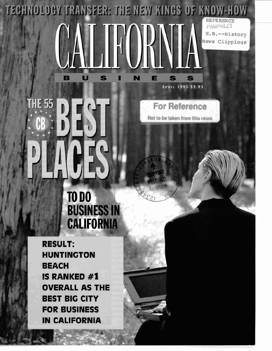**TECHNOLOGY TRANSFER: THE NEW KINGS OF KNOW-HOW** REFERENCE PAMPHLET. H.B.--History News Clippings

N

E

**THE 55**  $\mathbb{R}$ 

B

U

S

**For Reference** 

APRIL 1993 \$2.95

S

Not to be taken from this room

## **TO DO BUSINESS IN CALIFORNIA**

**RESULT: HUNTINGTON BEACH IS RANKED #1 OVERALL AS THE BEST BIG CITY FOR BUSINESS IN CALIFORNIA**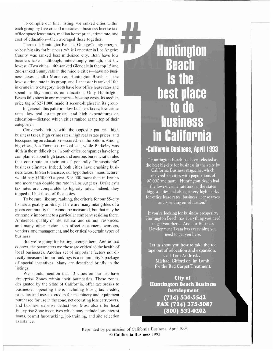To compile our final listing, we ranked cities within each group by five crucial measures-business license tax, office space lease rates, median home price, crime rate, and <sup>I</sup> cost of education-then averaged these together.

The result: Huntington Beach in Orange County emerged as best big city for business, while Lancaster in Los Angeles County was ranked best mid-sized city. Both have low business taxes-although, interestingly enough, not the business taxes—although, interestingly enough, not the<br>lowest. (Two cities—4th-ranked Glendale in the top 15 and<br>2nd-ranked Sunnyvale in the middle cities—have no busilowest. (Two cities—4th-ranked Glendale in the top 15 and ness taxes at all.) Moreover, Huntington Beach has the lowest crime rate in its group, and Lancaster is ranked 10th in crime in its category. Both have low office lease rates and spend healthy amounts on education. Only Hu spend healthy amounts on education. Only Huntirlgton Beach falls short in one measure—housing costs. Its median price tag of \$27 1,000 made it second-highest in its group.

In general, this pattern-low business taxes, low crime rates, low real estate prices, and high expenditures on education-dictated which cities ranked at the top of their categories.

Conversely, cities with the opposite pattern-high business taxes, high crime rates, high real estate prices, and less spending on education-scored near the bottom. Among big cities, San Francisco ranked last, while Berkeley was 40th in the middle cities. In both cities, companies have long ,. . MM . .&~ complained about high taxes and onerous bureaucratic rules that contribute to their cities' generally "inhospitable" business climates. Indeed, both cities have crushing business taxes. In San Francisco, our hypothetical manufacturer would pay \$1 50,000 a year, \$18,000 more than in Fresno and more than double the rate in Los Angeles. Berkeley's tax rates are comparable to big-city rates; indeed, they topped all but those of four cities.

To be sure, like any ranking, the criteria for our 55-city list are arguably arbitrary. There are many intangibles of a given community that cannot be measured, but that may be extremely important to a particular company residing there. Ambience, quality of life, natural and cultural resources, and many other factors can affect customers, workers, vendors, and management, and be critical to certain types of business.

But we're going for batting average here. And in that context, the parameters we chose are critical to the health of local businesses. Another set of important factors not directly measured in our rankings is a community's package of special incentives. Many are described briefly in the listings.

We should mention that 13 cities on our list have Enterprise Zones within their boundaries. These zones, designated by the State of California, offer tax breaks to businesses operating there, including hiring tax credits, sales-tax and use-tax credits for machinery and equipment purchased for use in the zone, net operating loss carryovers, and business expense deductions. Most also offer local Enterprise Zone incentives which may include low-interest ' loans, permit fast-tracking, job training, and site selection assistance.

## **Huntington<br>Beach** business in California

"Huntington Beach has been selected as the best big city for business in the state by California Business magazine, which analyzed 55 cities with populations of 90,000 and more. Huntington Beach had the lowest crime rate among the states biggest cities and also got very high marks for office lease rates, business license taxes and spending on education."

If you're looking for business prosperity, Huntington Beach has everything you need to get you there. And our Business Development Team has everything you need to get you here.

Let us show you how to take the red tape out of relocation and expansion. Call Tom Andrusky, Michael Gifford or Jim Lamb for the Red Carpet Treatment.

City of **Huntington Beach Business Development**  $(714) 536.5542$ FAX (714) 375-5087 (800) 533-0202

Reprinted by permission of California Business, April 1993 0 **California Business** 1993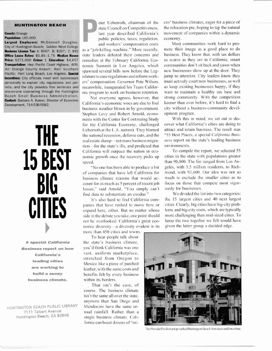## ---..-.-+-->.---- **n.-n--ela** ..,. **r-** -- , ,--

Largest Employers: McDonnell Douglas;<br>City of Huntington Beach; Golden West College<br>**Rutings Lines: Large A**: Co. Co. Co. Co. 2021, as a "iob-killing machine." More recently, mote their image as a good place to do

**business climate.** within its borders.

**HUNTINGTON BEACH PUBLIC LIBRARY** Mendocino have the same an-**7111 Taibert Avenue 1111 Taibert Avenue 1111 Taibert Avenue 1111 Taibert Avenue Property Property Property Property Property Property Property Property Property Property Property Property P** 

**Population: 185,000** public policies, taxes, regulation, economy.<br> **Largest Employers:** McDonnell Douglas: and uncharge componenting posts Most

**Price: \$271,000 <b>Crime: 1 Education:** \$4,657 remedies at the February California Eco-<br>**Transportation:** Hwy: Pacific Coast Highway, 405; nomic Summit in Los Angeles, which mits, and the city provides free seminars and meanwhile, inaugurated his Team Califor-<br>one-on-one counseling through the Huntington his program to work on business retention

> business weather blown in by government. Stephen Levy and Robert Arnold, econo-<br>mists with the Center for Continuing Study With this in mind, we set out to dismists with the Center for Continuing Study With this in mind, we set out to dis-<br>for the California Economy, challenged cover what California's cities are doing to The California Economy, challenged cover what California's cities are doing to Ueberroth at the L.A. summit. They blamed attract and retain business. The result was the national recession, defense cuts, and the "55 Best Pl Ueberroth at the L.A. summit. They blamed attract and retain business. The result was the national recession defense cuts, and the "55 Best Places, a special *California Busi*the national recession, defense cuts, and the "55 Best Places, a special *California Busi*-<br>
> real estate slump—not mass business migra- *ness* report on the state's leading business real estate slump-not mass business migration-for the state's ills, and predicted that environments. California will outpace the nation in eco-<br>nomic growth once the recovery picks up cities in the state with populations greater nomic growth once the recovery picks up cities in the state with populations greater speed.<br>
> than 90,000. The list ranged from Los An-

of companies that have left California for mond, with 92,600. Our idea was not so<br>business climate reasons that would ac-<br>count for as much as 5 percent of recent job focus on those that compete most vigor-<br>losses," said A business climate reasons that would ac- much to exclude the smaller cities as to count for as much as 5 percent of recent job focus on those that compete most vigorlosses," said Arnold. "You simply can't ously for businesses.<br>
find data to substantiate an exodus." We divided the list into two categories: find data to substantiate an exodus."

panies that have rushed to move here or expand here, either. But no matter whose side in the debate you take, one point should not be overlooked: California's great eco-<br>nomic diversity-a diversity evident in its given the latter group a decided edge.

more than 450 cities and towns.

To hear people talk about **A special California** the state's business climate. **Business report on how** you'd think California was one<br>California's vast, uniform marketplace, **California's** vast, uniform marketplace,<br> **leading cities** stretched from Oregon to **Mexico like a piece of parched**<br> **are working to leather**, with the same costs and **build a sunny** benefits felt by every business

> That isn't the case, of course. The business climate isn't the same all over the state, anymore than San Diego and  $single$  business climate, California can boast dozens of "mi-

**IUNTINGTON BEACH** eter Ueberroth, chairman of the crow business climates, eager for a piece of state Council on Competitiveness, the relocation pie, hoping to tap the natural state Council on Competitiveness, the relocation pie, hoping to tap the natural **County:** Orange last year described California's movement of companies within a dynamic nublic policies taxes requlation economy

**Eusiness License Tax:** A: \$997; B: \$267; C: \$93 as a "job-killing machine." More recently, mote their image as a good place to do **Business License Tax:** A: \$997; B: \$267; C: \$93 as a "job-killing machine." More recently, state leaders debated their concerns and business. They know that, with tax dollars remedies at the February California Fco- as scarce as they are in California, smart **Transportation:** *Hwy*: Pacific Coast Highway, 405; nomic Summit in Los Angeles, which communities don't sit back and yawn when *Air:* Orange County Airport; *Rail:* Southern spawned several bills now before the Leg- new Air: Orange County Airport; Rail: Southern spawned several bills now before the Leg- new businesses show up at the door. They Pacific; *Port:* Long Beach, Los Angeles. **Special** spawned several bills now before the Leg- ne islature to ease regulations and reform work-<br>ers' compensation. Governor Pete Wilson. must actively court new businesses, as well personally to explain city regulations and per- ers' compensation. Governor Pete Wilson, must actively court new businesses, as well<br>mits, and the city provides free seminars and meanwhile, inaugurated his Team Califor- as one-on-one counseling through the Huntington nia program to work on business retention. want to maintain a healthy tax base and Beach Small Business Administration. Not everyone agrees, however, that strong community. With Beach Small Business Administration.<br>
Not everyone agrees, however, that strong community. With the competition<br>
Development, 714-536-5582.<br>
Universe Section California's economic woes are due to foul keener than ever befo

California will outpace the nation in eco-<br>nomic growth once the recovery picks up<br>speed.<br>"No one has been able to produce a list geles, with 3.5 million residents, to Rich-<br>of companies that have left California for mond,

It's also hard to find California com-<br>panies that have rushed to move here or cities. Clearly, big cities have big-city prob-<br>expand here, either. But no matter whose lems and big-city costs, which are typically<br>side in t



The Pierside Pavilion at top-ranked Huntington Beach: low taxes and low crime.